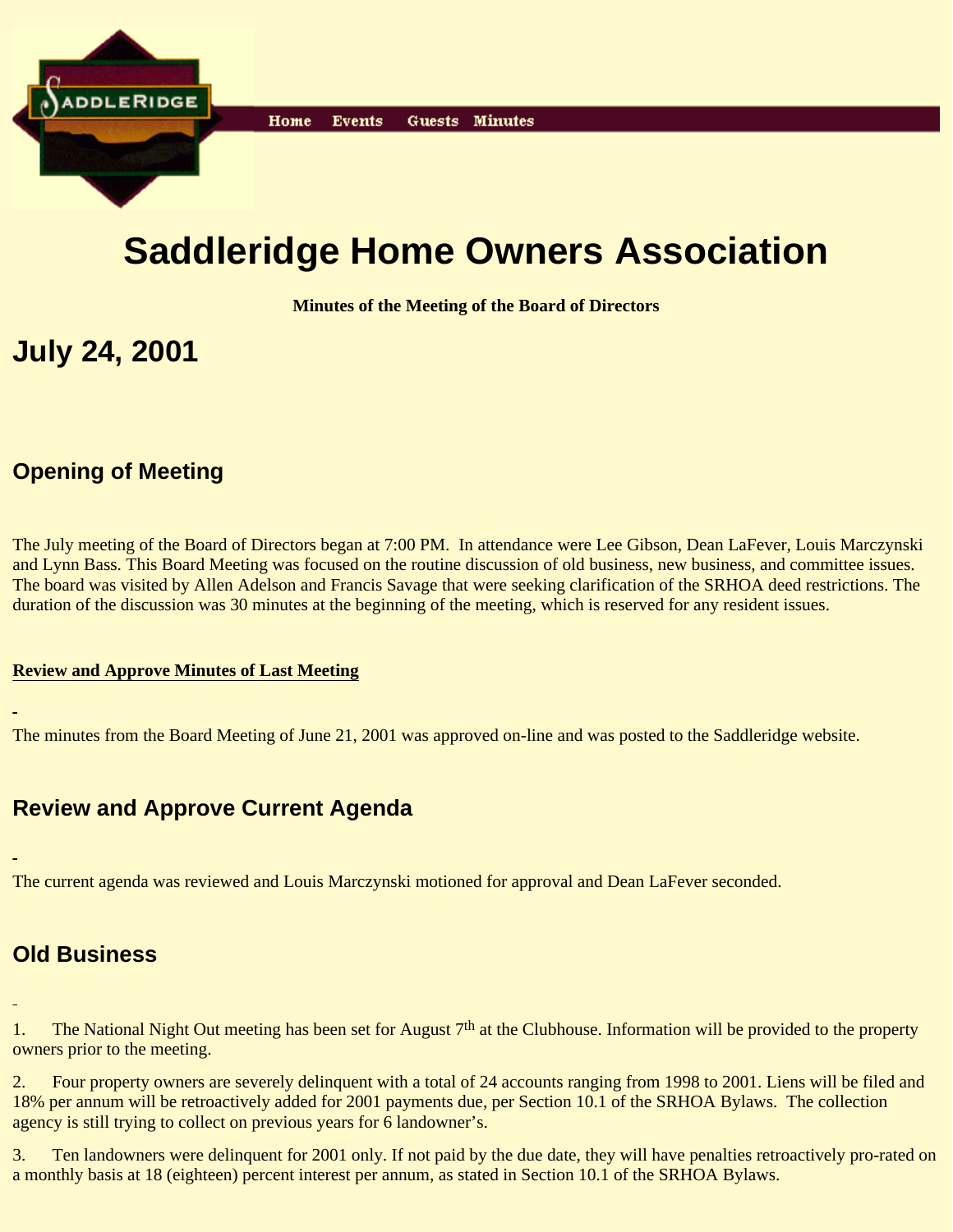

# **Saddleridge Home Owners Association**

**Minutes of the Meeting of the Board of Directors**

## **July 24, 2001**

## **Opening of Meeting**

The July meeting of the Board of Directors began at 7:00 PM. In attendance were Lee Gibson, Dean LaFever, Louis Marczynski and Lynn Bass. This Board Meeting was focused on the routine discussion of old business, new business, and committee issues. The board was visited by Allen Adelson and Francis Savage that were seeking clarification of the SRHOA deed restrictions. The duration of the discussion was 30 minutes at the beginning of the meeting, which is reserved for any resident issues.

#### **Review and Approve Minutes of Last Meeting**

The minutes from the Board Meeting of June 21, 2001 was approved on-line and was posted to the Saddleridge website.

### **Review and Approve Current Agenda**

The current agenda was reviewed and Louis Marczynski motioned for approval and Dean LaFever seconded.

#### **Old Business**

1. The National Night Out meeting has been set for August 7<sup>th</sup> at the Clubhouse. Information will be provided to the property owners prior to the meeting.

2. Four property owners are severely delinquent with a total of 24 accounts ranging from 1998 to 2001. Liens will be filed and 18% per annum will be retroactively added for 2001 payments due, per Section 10.1 of the SRHOA Bylaws. The collection agency is still trying to collect on previous years for 6 landowner's.

3. Ten landowners were delinquent for 2001 only. If not paid by the due date, they will have penalties retroactively pro-rated on a monthly basis at 18 (eighteen) percent interest per annum, as stated in Section 10.1 of the SRHOA Bylaws.